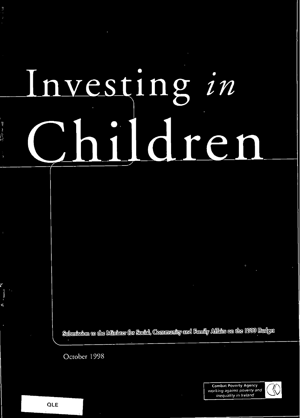## nvesting in en r

Submission to the Minister for Social, Community and Family Affairs on the 1999 Budget

October 1998

**Combat Poverty Agency** working against poverty and inequality in Ireland

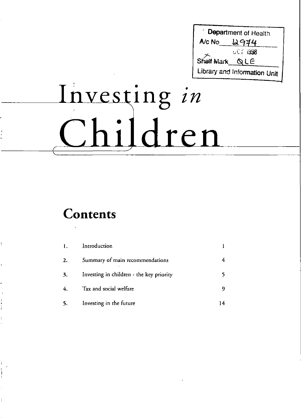Department of Health 2974 A/c No  $001,1998$ Shelf Mark QLE Library and Information Unit

# Investing in Children

### Contents

| $\mathbf{1}$ . | Introduction                             |  |
|----------------|------------------------------------------|--|
| 2.             | Summary of main recommendations          |  |
| 3.             | Investing in children - the key priority |  |
| 4.             | Tax and social welfare                   |  |
| 5.             | Investing in the future                  |  |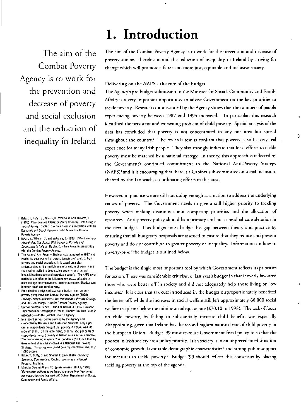### 1. Introduction

The aim of the Combat Poverty Agency is to work for the prevention and decrease of poverty and social exclusion and the reduction of inequality in Ireland

- 2 Notan, B., Whelan, C., and Williams, J. (1998). Where are Poor Households: The Spatial Distribution of Poverty and Deprivation in Ireland Dublin: Oak Tree Press in association with the Combat Poverty Agency.
- 3 The National Anti-Poverty Strategy was launched in 1997 and marks the development of agreed targets and goals to fight poverty and social exclusion. It is based on a clear understanding of the multidimensional nature of poverty and the need to tackle the deep-seated underlying structural inequalities that create and perpetuate poverty. The NAPS gives particular attention to the following key areas: educational disadvantage, unemployment, income adequacy, disadvantage in urban areas and rural poverty.
- 4 For a detailed analysis of last year's budget from an antipoverty perspective see Combat Poverty Agency (1998) Poverty Today Supplement: The National Anti-Poverty Strategy and the 1998 Budget. Dublin: Combat Poverty Agency,
- 5 See for example: Fahey, T. and Fitz Gerald, J. (1997) Welfare Implications of Demographic Trends. Dublin: Oak Tree Press in association with the Combat Poverty Agency.
- 6 In a recent survey, commissioned by the Agency and conducted by Research and Evaluation Services, only 2 per cent of respondents thought that poverty in Ireland was 'no problem at all'. On the other hand, over half (53 per cent) of respondents thought poverty in Ireland was a serious problem The overwhelming majority of respondents (81%) felt that the Government should be involved in a National Anti-Poverty Strategy. The survey was based on a representative sample of 1,000 people.
- Baker, T., Duffy, D. and Shortall F. (July 1998) Quarterly Economic Commentary, Dublin: Economic and Social Research Institute.
- 8 Minister Dermot Ahern, TD. (press release, 30 July 1998) 'Government policies to be tested to ensure that they do not adversely affect the less well off. Dublin: Department of Social. Community and Family Affairs

The aim of the Combat Poverty Agency is to work for the prevention and decrease of poverty and social exclusion and the reduction of inequality in Ireland by striving for change which will promote a fairer and more just, equitable and inclusive society.

#### Delivering on the NAPS - the role of the budget

The Agency's pre-budget submission to the Minister for Social, Community and Family Affairs is a very important opportunity to advise Government on the key priorities to tackle poverty. Research commissioned by the Agency shows that the numbers of people experiencing poverty between 1987 and 1994 increased.<sup>1</sup> In particular, this research identified the persistent and worsening problem of child poverty. Spatial analysis of the data has concluded that poverty is not concentrated in any one area but spread throughout the country.<sup>2</sup> The research results confirm that poverty is still a very real experience for many Irish people. They also strongly indicate that local efforts to tackle poverty must be matched by a national strategy. In theory, this approach is reflected by the Government's continued commitment to the National Anti-Poverty Strategy (NAPS)<sup>3</sup> and it is encouraging that there is a Cabinet sub-committee on social inclusion, chaired by the Taoiseach, co-ordinating efforts in this area.

However, in practice we are still not doing enough as a nation to address the underlying causes of poverty. The Government needs to give a still higher priority to tackling poverty when making decisions about competing priorities and the allocation of resources. Anti-poverty policy should be a primary and not a residual consideration in the next budget. This budget must bridge this gap between theory and practice by ensuring that all budgetary proposals are assessed to ensure that they reduce and prevent poverty and do not contribute to greater poverty or inequality. Information on how to poverty-proof the budget is outlined below.

The budget is the single most important tool by which Government reflects its priorities for action. There was considerable criticism of last year's budget in that it overly favoured those who were better off in society and did not adequately help those living on low incomes.<sup>4</sup> It is clear that tax cuts introduced in the budget disproportionately benefited the better-off, while the increases in social welfare still left approximately 60,000 social welfare recipients below the minimum adequate rate (£70.10 in 1998). The lack of focus on child poverty, by failing to substantially increase child benefit, was especially disappointing, given that Ireland has the second highest national rate of child poverty in the European Union. Budget '99 must re-route Government fiscal policy to so that the poorest in Irish society are a policy priority. Irish society is in an unprecedented situation of economic growth, favourable demographic characteristics<sup>5</sup> and strong public support for measures to tackle poverty.<sup>6</sup> Budget '99 should reflect this consensus by placing tackling poverty at the top of the agenda.

<sup>1</sup> Callan, T., Nolan, B., Whelan, B., Whelan, C. and Williams, J. (1996) Poverty in the 1990s: Evidence from the 1994 Living in Ireland Survey. Dublin: Oak Tree Press in association with the Economic and Social Research Institute and the Combat Poverty Acency.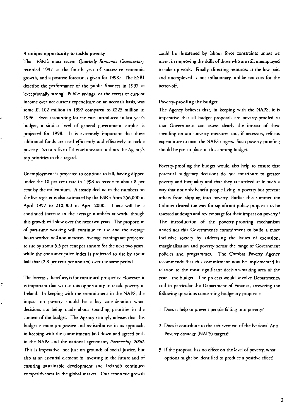#### A unique opportunity to tackle poverty

The ESRI's most recent *Quarterly Economic Commentary* recorded 1997 as the fourth year of successive economic growth, and a positive forecast is given for 1998.' The ESRI describe the performance of the public finances in 1997 as 'exceptionally strong'. Public savings, or the excess of current income over net current expenditure on an accruals basis. was . some £1,102 million in 1997 compared to £225 million in 1996. Even accounting for tax cuts introduced in last year's budget, a similar level of general government surplus is projected for 1998. It is extremely important that these additional funds are used efficiently and effectively to tackle poverty. Section five of this submission ourlines the Agency's top priorities in this regard.

Unemployment is projected to continue to fall, having dipped under the 10 per cent rate in 1998 to recede to about B per cent by the millennium. A steady decline in the numbers on the live register is also estimated by the ESRI: from 256,000 in April 1997 to 210,000 in April 2000. There will be a continued increase in the average numbers at work. though this growth will slow over the next two years. The proportion of part-time working will continue to rise and the average hours worked will also increase. Average earnings are projected to rise by about 5.5 per cent per annum for the next two years, while the consumer price index is projected to rise by about half that (2.8 per cent per annum) over the same period.

The fotecast. therefore, is for continued prosperity. However. it is important that we use this opporrunity to tackle poverty in Ireland. In keeping with the commitment in the NAPS. the impact on poverty should be a key consideration when decisions are being made about spending priorities in the context of the budget. The Agency strongly advises that this budget is more progressive and redistributive in its approach, in keeping with the commitments laid down and agreed both in the NAPS and the national agreement, *Partnership 2000.*  This is imperative, not just on grounds of social justice, but also as an essential element in investing in the future and of ensuring sustainable development and Ireland's continued competitiveness in the global market. Our economic growth could be threatened by labour force constraints unless we invest in improving the skills of those who are still unemployed to take up work. Finally, directing resources at the low paid and unemployed is not inflationary, unlike tax cuts for the better-off.

#### Poverty-proofing the budget

The Agency believes that, in keeping with the NAPS, it is imperative that all budget proposals are poverty-proofed so that Government can assess dearly the impact of their spending on anti~poverty measures and. if necessary. refocus expenditure ro meet the NAPS targets. Such poverty-proofing should be put in place in this coming budget.

Poverty-proofing the budget would also help to ensure that potemial budgetary decisions do not contribute to greater poverty and inequality and that they are arrived at in such a way that not only benefit people living in poverty bur prevent others from slipping into poverty. Earlier this summer the Cabinet cleared the way for significant policy proposals to be assessed at design and review stage for their impact on poverty.<sup>8</sup> The introduction of the poverty-proofing mechanism underlines this Government's commitment to build a more inclusive society by addressing the issues of exclusion. marginalisation and poverty across the range of Government policies and programmes. The Combat Poverry Agency recommends that this commitment now be implemented in relation to the most significant decision-making area of the year - the budget. The process would involve Departments. and in particular the Department of Finance, answering the following questions concerning budgetary proposals:

- l. Does it help to prevent people falling into poverty?
- 2. Does it contribute to the achievement of the National Anti-Poverty Strategy (NAPS) targets?
- 3. If the proposal has no effect on the level of poverty, what options might be identified to produce a positive effect?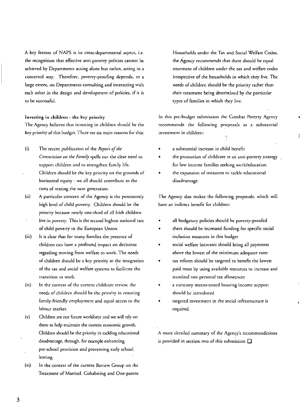A key feature of NAPS is its cross·depanmemal aspect, i.e. the recognition that effective anti-poverry policies cannot be achieved by Departments acting alone but rather, acting in a concerted way. Therefore, poverry.proofing depends, ro a large extent, on Departments consulting and interacting with each other in the design and development of policies, if ir is to be successful.

#### Investing in children - the key priority

The Agency believes that investing in children should be the key prioriry of this budget. There arc six main reasons for this:

- (i) , The recent publication of the *Rcpor't of the*
- Commission on the Family spells out the clear need to support children and to strengthen family life. Children should be the key priority on the grounds of horizontal equiry . we all should contribute to the
- (ii) costs of rearing the next generation. A particular concern of the Agency is rhe persistendy
- high level of child poverry. Children should be the prioriry because nearly one·third of all Irish children live in poverry. This is the second highest national rate of child poveny in the European Union.
- (iii) h is clear thar foc many families the presence of children can have a profound impact on decisions regarding moving from welfare to work. The needs of children should be a key priority in the integration of the tax and social welfare systems to facilitate the transition to work.
- (iv) In the context of the current childcare review, the needs of children should be rhe priority in ensuring family.friendly employment and equal access to the labour marker.
- (v) Children are our future workforce and we will rely on them to help maintain the current economic growth. Children should be the priority in tackling educational disadvantage, through, for example enhancing pre·school provision and preventing early school leaving.
- (vi) In the comexr of the current Review Group on the Treatment of Married, Cohabiting and One-parent

Households under the 'lax and Social Welfare Codes, the Agency recommends that rhere should be equal treatment of children under.the (ax and welfare *codes*  irrespective of the households in which (hey live. The needs of children should-be the prioriry rather than their treatment being determined by the particular types of families in which they live.

In this pre-budget submission the Combat Poverty Agency recommends the following proposals as a substantial investmenr in children: r)<br>T

- a substantial increase in child benefit
- the promotion of childcare as an anti-poverry strategy for low income families seeking workleducarion
- the expansion of measures to tackle educational disadvantage.

The Agency also makes the following proposals, which will have an indirect benefit for children:

- all budgetary policies should be poveny.proofed
- there should be increased funding for specific social inclusion measures in this budget
- social welfare increases should bring all payments above the lowest of the minimum adequate rates
- tax reform should be targeted to benefit the lowest paid most by using available resources to increase and standard rate personal tax allowances
- a statutory means-tested housing income support should be introduced
- targeted investment in rhe social infrastructure is required.

A more detailed summary of the Agency's recommendations is provided in section two of this submission  $\square$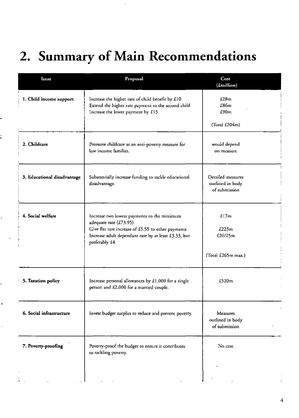### 2. Summary of Main Recommendations

| Issue                       | Proposal                                                                                                                                                                                              | Cost<br>(£million)                                     |
|-----------------------------|-------------------------------------------------------------------------------------------------------------------------------------------------------------------------------------------------------|--------------------------------------------------------|
| 1. Child income support     | Increase the higher rate of child benefit by £10<br>Extend the higher rate payment to the second child<br>Increase the lower payment by £15.                                                          | E28m<br>£86m<br>£90m                                   |
|                             |                                                                                                                                                                                                       | (Total $£204m$ )                                       |
| 2. Childcare                | Promote childcare as an anti-poverty measure for<br>low income families.                                                                                                                              | would depend<br>on measure                             |
| 3. Educational disadvantage | Substantially increase funding to tackle educational<br>disadvantage.                                                                                                                                 | Detailed measures<br>outlined in body<br>of submission |
| 4. Social welfare           | Increase two lowest payments to the minimum<br>adequate rate (£73.95)<br>Give flat rate increase of £5.55 to other payments<br>Increase adult dependant rate by at least £3.33, but<br>preferably £4. | £17m<br>£223m<br>£20/25m                               |
|                             |                                                                                                                                                                                                       | (Total £265m max.)                                     |
| 5. Taxation policy          | Increase personal allowances by £1,000 for a single<br>person and £2,000 for a married couple.                                                                                                        | £520m                                                  |
| 6. Social infrastructure    | Invest budget surplus to reduce and prevent poverty.                                                                                                                                                  | Measures<br>outlined in body<br>of submission          |
| 7. Poverty-proofing         | Poverty-proof the budget to ensure it contributes<br>to tackling poverty.                                                                                                                             | No cost                                                |
|                             |                                                                                                                                                                                                       |                                                        |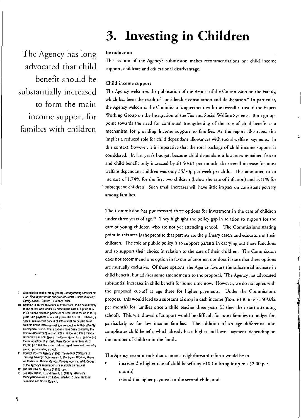### 3. Investing in Children

The Agency has long advocated that child benefit should be substantially increased to form the main income support for families with children

#### Introduction

This section of the Agency's submission makes recommendations on: child income support, childcare and educational disadvantage.

#### Child income support

The Agency welcomes the publication of the Report of the Commission on the Family, which has been the result of considerable consultation and deliberation.<sup>9</sup> In particular, the Agency welcomes the Commission's agreement with the overall thrust of the Expert Working Group on the Integration of the Tax and Social Welfare Systems. Both groups point towards the need for continued strengthening of the role of child benefit as a mechanism for providing income support to families. As the report illustrates, this implies a reduced role for child dependant allowances with social welfare payments. In this context, however, it is imperative that the total package of child income support is considered. In last year's budget, because child dependant allowances remained frozen and child benefit only increased by £1.50/£3 per month, the overall increase for most welfare dependant children was only 35/70p per week per child. This amounted to an increase of 1.74% for the first two children (below the rate of inflation) and 3.11% for subsequent children. Such small increases will have little impact on consistent poverty among families.

The Commission has put forward three options for investment in the care of children under three years of age.<sup>10</sup> They highlight the policy gap in relation to support for the care of young children who are not yet attending school. The Commission's starting point in this area is the premise that parents are the primary carers and educators of their children. The role of public policy is to support parents in carrying out these functions and to support their choice in relation to the care of their children. The Commission does not recommend one option in favour of another, nor does it state that these options are mutually exclusive. Of these options, the Agency favours the substantial increase in child benefit, but advises some amendments to the proposal. The Agency has advocated substantial increases in child benefit for some time now. However, we do not agree with the proposed cut-off at age three for higher payments. Under the Commission's proposal, this would lead to a substantial drop in cash income (from £130 to £31.50/£42 per month) for families once a child reaches three years (if they then start attending school). This withdrawal of support would be difficult for most families to budget for, particularly so for low income families. The addition of an age differential also complicates child benefit, which already has a higher and lower payment, depending on the number of children in the family.

The Agency recommends that a more straightforward reform would be to

- increase the higher rate of child benefit by £10 (to bring it up to £52.00 per month)
- extend the higher payment to the second child, and
- Commission on the Family (1998) Strengthening Families for 9 Lile: Final report to the Minister for Social, Community and Family Atlairs. Dublin: Stationery Office.
- Option A, a parent allowance of £30 a week, to be paid directly to the parent who works full-time in the home. Option B, a PRSI funded extended period of parental leave for up to three years with payment of a weekly parental benefit. Option C, a special rate of child benefit of £30 a week to be paid to all children under three years of age irrespective of their parents' employment status. These options have been costed by the Commission at £228 million, £225 million and £173 million. respectively in 1998 terms. The Commission also recommend the introduction of an Early Years Opportunity Subsidy of £1,000 (in 1998 terms) for children aged three and over who are not yet attending school.
- 11 Combat Poverty Agency (1998) The Role of Childcare in Tackling Poverty: Submission to the Expert Working Group on Childcare. Dublin: Combat Poverty Agency. p16. Copies of the Agency's submission are available on request.
- 12 Combat Poverty Agency (1998) op.cit.
- See also, Callan, T., and Farrell, B. (1991) Women's Participation in the Irish Labour Market. Dublin: National Economic and Social Council.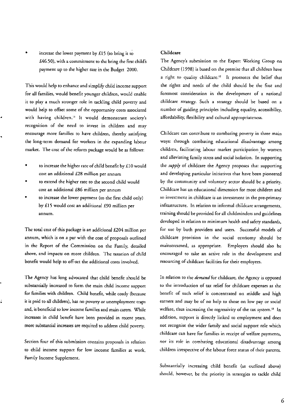increase the lower payment by  $£15$  (to bring it to £46.50), with a commitmem to the bring the first child's payment up to the higher rate in the Budget 2000.

This would help to enhance and simplify child income support for all families, would benefic younger children. would enable it co playa much stronger role in tackling child poverry and would help to offset some of the opportunity costs associated with having children.<sup>11</sup> It would demonstrate society's recognition of the need to invest in children and may encourage more families to have children, thereby satisfying the long.term demand for workers in the expanding labour market. The cost of the reform package would be as follows:

- to increase the higher rate of child benefit by £10 would cost an additional £28 million per annum
- to extend the higher rate to the second child would cost an additional £86 million per annum
- to increase the lower paymem (to the first child only) by £15 would cost an additional £90 million per annum.

The total cost of this package is an additional £204 million per annum, which is on a par with the cost of proposals outlined in the Report of the Commission on the Family, detailed above, and impacts on more children. The taxation of child benefit would help to off-set the additional costs involved.

The Agency has long advocated that child benefit should be substantially increased ro form the main child income support for families with children. Child benefit, while costly (because it is paid to all children), has no poverty or unemployment traps and, is beneficial to low income families and main carers. While increases in child benefit have been provided in recent years, more substantial increases are required to address child poveny.

Section four of this submission contains proposals in relation to child income support for low income families at work, Family Income Supplement.

#### Childcare

The Agency's submission to the Expert Working Group on Childcare (1998) is based on the premise that all children have a right to quality childcare.<sup>12</sup> It promotes the belief that the rights and needs of the child should be the first and foremosr consideration in the development of a national childcare strategy. Such a strategy should be based on a number of guiding principles including equality, accessibility, affordability, flexibility and cultural appropriateness.

Childcare can contribute ro combating poverty in three main ways: through combating educational disadvanrage among children, facilitating labour market parricipation. by women and alleviating family stress and social isolation. In supporting the *supply* of childcare the Agency proposes that supporting and developing particular initiatives that have been pioneered by the community and voluntary sector should be a priority. Childcare has an educational dimension for most children and so investment in childcarc is an investment in the pre-primary infrastructure. In relarion to informal childcare arrangemenrs, training should be provided for all childminders and guidelines developed in relation to minimum health and safety standards, for use by both providers and users. Successful models of childcare provision in the social economy should be mainstrearned, as appropriate. Employers should also be encouraged to take an active role in the development and resourcing of childcare facilities for their employees.

In relation to the *demand* for childcare, the Agency is opposed to the introduction of tax relief for childcare expenses as the benefit of such relief is concenrrared on middle and high earners and may be of no help co those on low payor social welfare, thus increasing the regressivity of the tax system.<sup>13</sup> In addition, support is directly linked to employment and does not recognise the wider family and social support role which childcare can have for families in receipt of welfare payments, nor its role in combating educational disadvantage among children irrespective of the labour force status of their parents.

Substantially increasing child benefir (as outlined above) should, however, be the priority in strategies to tackle child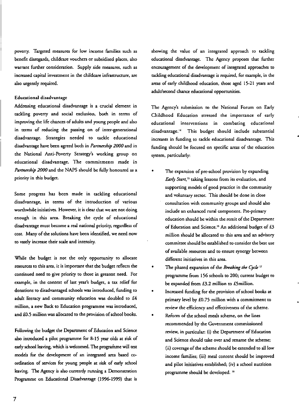**poverty. Targeted measures for low income families such** as benefit disregards, childcare vouchers or subsidised places, also **warrant further consideration. Supply side measures, such as increased capital investment in the childcare infrastructure, are**  also urgently required.

#### **Educational disadvantage**

**Addressing educational disadvantage is a crucial dement in tackling poverty and social exclusion, both in terms of**  improving the life chances of adults and young people and also **in terms of reducing the passing on of inter-generational disadvantage. Strategies needed to tackle educational**  disadvantage have been agreed both in *Partnership 2000* and in **the National Anti-Poverty Strategy's working group on educational disadvantage. The commitments made in**  *Partnership 2000* and the NAPS should be fully honoured as a priority in this budget.

**Some progress has been made In tackling educational disadvantage, in terms of the introduction of various worthwhile initiatives. However, it is clear that we are not doing**  enough in this area. Breaking the cycle of educational disadvantage must become a real national priority, regardless of **cost. Many of the solutions have been identified, we need now to vastly increase their scale and intensity.** 

While the budget is not the only opportunity to allocate **resources to this area. it is important that the budget reflects the continued. need to give priority to those in greatest need. For**  example, in the context of last year's budget, a tax relief for donations to disadvantaged schools was introduced, funding to adult literacy and community education was doubled to £4 million, a new Back to Education programme was introduced, and £0.5 million was allocated to the provision of school books.

Following the budget the Department of Education and Science also introduced a pilot programme for 8-15 year olds at risk of early school leaving, which is welcomed. The programme will test models for the development of an integrated area based c0 ordination of services for young people at risk of early school leaving. The Agency is also currently running a Demonstration Programme on Educational Disadvantage (1996-1999) that *is* 

showing the value of an integrated approach to tackling educational disadvantage. The Agency proposes that funher encouragement of the development of integrated approaches to tackling educational disadvantage *is* required, for example, in the areas of early childhood education, those aged 15-21 years and adult/second chance educational opportunities.

**The Agency's submission to the National Forum on Early Childhood Education stressed the importance of early educational interventions In combating educational**  disadvantage. 14 **This budget should include substantial**  increases in funding to tackle educational disadvantage. This funding should be focused on specific areas of the education system, particularly:

- **The expansion of pre-school provision** by expanding *Early Start,15* **taking lessons from its evaluation, and supporting models of good practice in the community and voluntary sector. This should be done in close consul[3tion with community groups and should also include an enhanced. rural component. Pre-primary**  education should be within the remit of the Department of Education and Science." An additional budget of £3 million should be allocated to this area and an advisory committee should be established to consider the best use **of available resources and to ensure synergy between different initiatives in this area.**
- The phased expansion of the *Breaking the Cycle* <sup>17</sup> programme from 156 schools to 200; current budget to be expanded from £3.2 million to £5million.
- Increased funding for the provision of school books at primary level by £0.75 million with a commitment to **review the efficiency and effectiveness of the scheme.**
- Reform of the school meals scheme, on the lines **recommended by the Government commissioned review, in particular: (i) the Department of Education and Science should take over and rename the scheme;**  (ii) coverage of the scheme should be extended to all low income families; (iii) meal content should be improved and pilot initiatives established; (iv) a school nutrition programme should be developed.<sup>18</sup>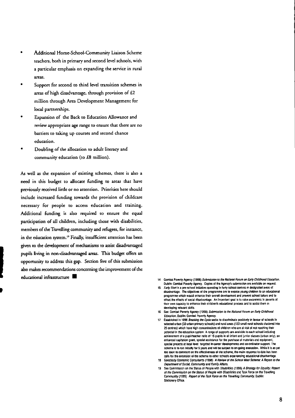- Additional Home-School-Community Liaison Scheme teachers. both in primary and second level schools, with a particular emphasis on expanding the service in rural areas.
- Support for second to third level transition schemes in areas of high disadvantage. through provision of £2 million through Area Development Management for local partnerships.
- Expansion of the Back to Education Allowance and review appropriate age range to ensure that there are no barriers to taking up courses and second chance education.
- Doubling of the allocation to adult literacy and community education (to £8 million).

As well as the expansion of existing schemes, there is also a need in this budget to allocate funding to areas that have previously received little or no attention. Priorities here should include increased funding towards the provision of childcare necessary for people to access education and training. Additional funding is also required to ensure the equal participation of all children. including those with disabilities. members of the Travelling community and refugees, for instance, in the education system.<sup>19</sup> Finally, insufficient attention has been given to the development of mechanisms to assist disadvantaged pupils living in non-disadvantaged areas. This budget offers an opportunity to address this gap. Section five of this submission also makes recommendations concerning the improvement of the educational infrastructure **• 14** Combal Powerty Agency (1998) Submission to the National Forum on Early Childhood Education.

,<br>,

- Dublin: Comba! Poverty Agency. Copies of the Agency's submission are available on request.
- 15 *Earty Start* is a pre-school initiative operating in lorty school centres in designated areas of disadvantage. The objectives of the programme are to expose young children to an educati programme which would enhance their overall development and prevent school failure and to offset the effects of social disadvantage. An Important goal is to raise awareness in parents of their own capacity to enhance their children's educational process and to assist them in developing relevant skills.
- 16 See: Combat Poverty Agency (1998) Submission to the National Forum on Early Childhood *Education.* Dublin: Combat Poverty Agency.
- 17 Established In 1996 *Br&11dng th8* Cycle seeks 10 discriminate posIllvely In favour 01 SChools In selected urban (33 urban primary schools) and rural areas (123 small rural schools clustered Inlo 25 centres) which have high concentrations 01 children who are at risk 01 nol reaching their potential in the education system. A range of supports are available to each school including achievement of a pupil/teacher ratio of 15 pupils in all infant and junior classes (urban only), an enhanced capitation grant, special assistance for the purchase of materials and equipment, special projects at local level, targeted in-career developments and co-ordinator support. The scheme is to run initially for 5 years and will be subject to on-going evaluation. While it is as yet ipp soon to comment on the effectiveness of the scheme, the main response to date has been calls for the extension of the scheme ID other schools experiencing educational disadvantage.
- 18 Goodbody Economic Consultants (1998) A Review of the School Meal Scheme: A Report to the Department of Social, Community and Family Affairs.
- See Commission on the Status of People with Disabilities (1996) A Strategy for Equality: Report of the Commission on the Status of People with Disabilities and Task Force on the Travelling Community (1995) Report of the Task Force on the Travelling Community. Dublin: Stationery Office.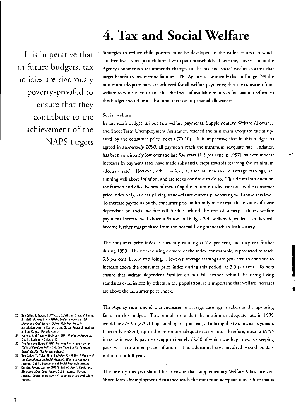### **4. Tax and Social Welfare**

It is imperative that in future budgets, tax policies are rigorously poverty-proofed to ensure that they contribute to the achievement of the **NAPS** targets

Strategies to reduce child poverty must be developed in the wider context in which children live. Most poor children live in poor households. Therefore, this section of the Agency's submission recommends changes to the tax and social welfare systems that target benefit to low income families. The Agency recommends that in Budget '99 the minimum adequate rates are achieved for all welfare payments; that the transition from welfare to work is eased; and that the focus of available resources for taxation reform in this budget should be a substantial increase in personal allowances.

#### Social welfare

In last year's budget, all but two welfare payments, Supplementary Welfare Allowance and Short Term Unemployment Assistance, reached the minimum adequate rate as uprated by the consumer price index  $(L70.10)$ . It is imperative that in this budget, as agreed in Partnership 2000, all payments reach the minimum adequate rate. Inflation has been consistently low over the last few years (1.5 per cent in 1997), so even modest increases in payment rates have made substantial steps towards reaching the 'minimum adequate rate'. However, other indicators, such as increases in average earnings, are running well above inflation, and are set to continue to do so. This draws into question the fairness and effectiveness of increasing the minimum adequate rate by the consumer price index only, as clearly living standards are currently increasing well above this level. To increase payments by the consumer price index only means that the incomes of those dependant on social welfare fall further behind the rest of society. Unless welfare payments increase well above inflation in Budget '99, welfare-dependent families will become further marginalised from the normal living standards in Irish society.

The consumer price index is currently running at 2.8 per cent, but may rise further during 1999. The non-housing element of the index, for example, is predicted to reach 3.5 per cent, before stabilising. However, average earnings are projected to continue to increase above the consumer price index during this period, at 5.5 per cent. To help ensure that welfare dependent families do not fall further behind the rising living standards experienced by others in the population, it is important that welfare increases are above the consumer price index.

The Agency recommend that increases in average earnings is taken as the up-rating factor in this budget. This would mean that the minimum adequate rate in 1999 would be £73.95 (£70.10 up-rated by 5.5 per cent). To bring the two lowest payments (currently £68.40) up to the minimum adequate rate would, therefore, mean a £5.55 increase in weekly payments, approximately  $£2.00$  of which would go towards keeping pace with consumer price inflation. The additional cost involved would be £17 million in a full year.

The priority this year should be to ensure that Supplementary Welfare Allowance and Short Term Unemployment Assistance reach the minimum adequate rate. Once that is

- 20 See Callan, T., Nolan, B., Whelan, B., Whelan, C. and Williams. J. (1996) Poverty in the 1990s; Evidence from the 1994 Living in tretand Survey. Dublin: Oak Tree Press In association with the Economic and Social Research Institute and the Combat Poverty Agency.
- $21$ National Anti-Poverty Strategy (1997) Sharing in Progress. Dublin: Stationery Office. p.13.
- The Pensions Board (1998) Securing Retirement Income: 22 National Pensions Policy Initiative Report of the Pensions Board, Dublin: The Pensions Board.
- See Callan, T., Nolan, B. and Whelan, C. (1996) A Review of 23 the Commission on Social Welfare's Minimum Adequate Income. Dublin: Economic and Social Research Institute.
- Combat Poverty Agency (1997) Submission to the National Minimum Wage Commission. Dublin; Combat Poverty Agency. Copies of the Agency's submission are available on request.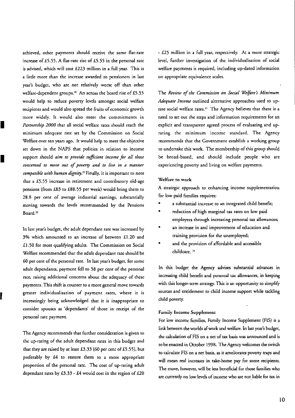achieved, other payments should receive the same flat-rate **increase of £5.55. A flat-rate rise of £5.55 in the personal rate is advised, which will cost £223 million in a full year. This is a little more than the increase awarded to pensioners in last year's budget, who are nor relatively worse off than ocher**  welfare-dependent groups.<sup>20</sup> An across the board rise of £5.55 **would help to reduce poverty levels amongst social welfare recipients and would also spread the fruits of economic growth more widely. It would also meet the commitments in**  *Partnership 2000* that all social welfare rates should reach the **minimum adequate rate set by the Commission on Social Welfare over ten years ago. It would help to meet the objective**  set down in the NAPS that policies in relation to income **suppOrt should** *aim to provide sufficient income for all those concerned to move out of poverry and to five in a manner compatible with human dignity.21* **Finally. it is important to note**  that a £5.55 increase in retirement and contributory old-age pensions (from £83 to £88.55 per week) would bring them to **28.8 per cent of average industrial earnings, substantially moving towards the levels recommended by the Pensions Board. <sup>22</sup>**

I

I

I

**In last year's budget, the adult dependant rate was increased by 3% which amounted to an increase of between £1.20 and**  £1.50 for most qualifying adults. The Commission on Social **Welfare recommended that the adult dependant rate should be 60 per cent of the personal rate. In last year's budget. for some**  adult dependants, payment fell to 58 per cent of the personal **rate, raising additional concerns about the adequacy of these payments. This shift is counter to a more general move towards greater individualisation of payment rates, where it is increasingly being acknowledged mat it is inappropriate to consider spouses as 'dependants' of those in receipt of the personal rate payment.** 

The Agency recommends that further consideration is given to **the up-rating of the adult dependant rates in this budget and**  that they are raised by at least £3.33 (60 per cent of £5.55), but preferably by £4 to restore them to a more appropriate **proportion of the personal rate. The cost of up-rating adult**  dependant rates by  $£3.33 - £4$  would cost in the region of  $£20$ 

**- £25 million in a full year, respectively. At a more strategic level, further investigation of the individualisation of social welfare payments is required. including up-dated information on appropriate equivalence scales.** 

**The** *Review of the Commission on Social We{fore s Minimum Adequate Income* **outlined alternative approaches used to up**rate social welfare rates.<sup>23</sup> The Agency believes that there is a **need to set out the steps and information requirements for an explicit and transparent agreed process of evaluating and uprating the minimum income standard. The Agency recommends that the Government establish a working group**  to undertake this work. The membership of this group should be broad-based, and should include people who are **experiencing poverty and living on welfare payments.** 

#### **Welfare to work**

**A strategic approach to enhancing income supplementation for low paid families requires:** 

- **a substantial increase to an integrated child benefit;**
- **reduction of high marginal tax rates on low paid employees through increasing personal tax allowances;**
- **an increase in and improvement of education and training provision for the unemployed;**
- and the provision of affordable and accessible **childcare. <sup>H</sup>**

In this budget the Agency advises substantial advances in **increasing child benefit and personal tax allowances, in keeping with this longer-term strategy. This is an opportunity to simplify**  sources and entitlement to child income support while tackling child poverty.

#### **Family Income Supplement**

For low income families, Family Income Supplement (FIS) is a link between the worlds af work and welfare. In last year's budget, **me calculation of PIS on a net of tax basis was announced and is**  to be enacted in October 1998. The Agency welcomes the switch **to calculate FIS on a net basis, as it ameliorates poverty traps and will mean real increases in rake-home pay for some recipients.**  The move, however, will be less beneficial for those families who **are currently on low levels** of income **who are not.liable for tax in**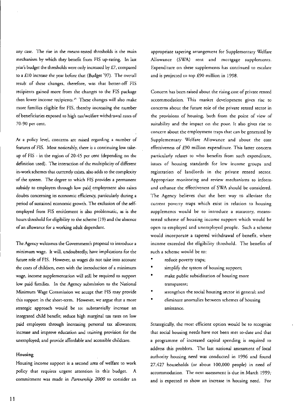any case. The rise in the means-tested thresholds is the main mechanism by which they benefit from FIS up-rating. In last year's budget the thresholds were only increased by £7, compared to a £10 increase the year before that (Budget '97). The overall result of these changes, therefore, was that better-off FIS recipients gained more from the changes to the FIS package then lower income recipients.<sup>25</sup> These changes will also make more families eligible for F1S, thereby increasing the number of beneficiaries exposed to high tax/welfare withdrawal rates of 70-90 per cent.

At a policy level, concerns are raised regarding a number of features of FIS. Most noticeably, there is a continuing low takeup of FlS - in the region of 20-45 per cent (depending on the definition used). The interaction of the multiplicity of different in-work schemes that currently exists, also adds to the complexity of the system. The degree to which FIS provides a permanent subsidy to employers through low paid employment also raises doubts concerning its economic efficiency, particularly during a period of sustained economic growth. The exclusion of the selfemployed from FIS entitlement is also problematic, as is the hours threshold for eligibility to the scheme (19) and the absence of an allowance for a working adult dependant.

The Agency welcomes the Government's proposal to imroduce a minimum wage. It will, undoubtedly. have implications for the future role of FIS. However, as wages do not rake into accoum the costs of children, even with the introduction of a minimum wage, income supplementation will stili be required to support low paid families. In the Agency submission to the National Minimum Wage Commission we accept that FlS may provide this support in the short-term. However, we argue that a more strategic approach would be to: substantially increase an integrated child benefit; reduce high marginal tax rates on low paid employees through increasing personal tax allowances; increase and improve education and training provision for the unemployed; and provide affordable and accessible childcare.

#### Housing

Housing income support is a second area of welfare to work policy that requires urgent attention in this budget. A commitment was made in *Partnership 2000* to consider an

appropriate tapering arrangement for Supplementary Welfare Allowance (SWA) rent and mortgage supplemems. Expenditure on these supplemems has continued to escalate and is projected to top £90 million in 1998.

Concern has been,raised about the rising cost of private rented accommodation. This market development gives rise to concerns about the future role of the private rented sector in the provisions, of housing. both from the point of view of suitability and the impact on the poor. Ir also gives rise to concern about the cmploymem traps that can be generated by Supplementary. Welfare Allowance and about the cost effectiveness of £90 million expenditure. This latter concern particularly relates to who benefits from such expenditure, issues of housing standards for low income groups and registration of landlords in the private rented sector. Appropriate monitoring and review mechanisms to inform· and enhance the effectiveness of SWA should be considered. The Agency believes that the best way to alleviate the current poverty traps which exist in relation to housing supplements would be to introduce a statutory, meanstested scheme of housing income support which would be open to employed and unemployed people. Such a scheme would incorporate a tapered withdrawal of benefit, where income exceeded the eligibility threshold. The benefits of such a scheme would be to:

- reduce poverty traps;
- simplify the system of housing support;
- make public subsidisation of housing more transparent;
- strengthen the social housing sector in general; and
- eliminate anomalies between schemes of housing assistance.

Strategically, the most efficient option would be to recognise that social housing needs have not been met to-date and that a programme of increased capital spending is required to address this problem. The last national assessment of local authority housing need was conducted in 1996 and found 27,427 households (or about 100,000 people) in need of accommodation. The next assessment is due in March 1999; and is expected to show an increase in housing need. For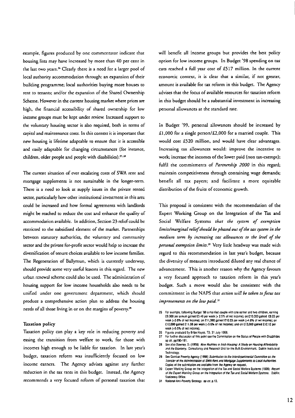example, figures produced by one commentator indicate that housing lists may have increased by more than 40 per cent in the last two years.<sup>26</sup> Clearly there is a need for a larger pool of local authority accommodation through: an expansion of their building programme; local authorities buying more houses to rent to tenants; and/or the expansion of the Shared Ownership Scheme. However in the current housing market where prices are high, the financial accessibility of shared ownership for low income groups must be kept under review. Increased support to the voluntary housing sector is also required, both in terms of capital and maintenance COSts. In this COntext it is important that new housing is lifetime adaptable to ensure that it is accessible and easily adaptable for changing circumstances (for instance, children, older people and people with disabilities).<sup>27, 28</sup>

The current situation of ever escalating costs of SWA rent and mortgage supplements is not sustainable in the longer-term. There is a need to look at supply issues in the private rented sector, particularly how other institutional investment in this area could be increased and how formal agreements with landlords might be reached to reduce the cost and enhance the quality of accommodation available. In addition, Section 23 relief could be restricted to the subsidised element of the market. Partnerships between statutory authorities, the voluntary and community sector and the private for-profit sector would help to increase the diversification of tenure choices available to low income families. The Regenerarion of Ballymun, which is currendy underway, should provide some very useful lessons in this regard. The new urban renewaJ scheme could also be used. The administration of housing support for low income households also needs to be unified under one government department, which should produce a comprehensive action plan to address the housing needs of all those living in or on the margins of poverty.<sup>29</sup>

#### Taxation policy

Taxation policy can play a key role in reducing poverty and easing the transition from welfare co work, for those with incomes high enough co be liable for taxation. In last year's budget, taxation reform was insufficiendy focused on low income earners. The Agency advises against any further reduction in the tax rares in this budget. Instead, the Agency recommends a very focused reform of personal taxation that will benefit all income groups but provides the best policy option for low income groups. In Budget '98 spending on tax cuts reached a full year cost of  $£517$  million. In the current economic context, it is clear that a similar, if not greater, amount is available for tax reform in this budget. The Agency advises that the focus of available resources for taxation reform in this budget should be a substantial investment in increasing personal allowances at the standard rate.

In Budget '99, personal allowances should be increased by £1,000 for a single person/£2,000 for a married couple. This would cost £520 million, and would have clear advantages. Increasing tax allowances would: improve the incentive to work; increase the incomes of the lower paid (non tax-exempt); fulfil the commitments of *Partnership 2000* in this regard; mainrain competitiveness through containing wage demands; benefit all tax payers; and facilitate a more equitable distribution of the fruits of economic growth.

This proposal is consistent with the recommendation of the Expert Working Group on the Integration of the Tax and Social Welfare Systems *that the system of exemption limits/marginal relief should be phased out of the tax system in the medium term by increasing tax allowances to the level of the personal exemption limits*.<sup>30</sup> Very little headway was made with regard to this recommendation in last year's budget, because the diversity of measures introduced diluted any real chance of advancement. This is another reason why the Agency favours a very focused approach to taxation reform in this year's budget. Such a move would also be consistent with the commitment in the NAPS that *action will be taken to focus tax improvements on the low paid."* 

- 26 Figures produced by Brian Hayes, TD, 31 July 1998.
- 27 For lurther discussion of this point see the Commission on the Status of People with Disabilities op cit. ppl90-191.
- 28 See also Downey, D. (1998) New Realnies in Irish Housing: A Study on Housing Affordability and the Economy. Consultancy and Research Unit for the Built Environment. Dublin Institute of **Technology**
- 29 See Combat Poverty Agency (1996) Submission to the Interdepartmental Committee on the Transfer of the Administration of SWA Rent and Mortgage Supplements to Local Authorities. Copies ot the submission are avallabto from the Agency on request.
- 30 Expen Working Group on the Integration of the Tax and Social Welfare Systems (1996) Report of the Expert Working Group on the Integration of the Tax and Social Welfare Systems. Dublin: Stationery Office.
- 31 National Anti-Poverty Strategy op cit. p.13.

<sup>25</sup> For sxample, following Budget '98 a married couple with one earner and two children, earning £9,000 per annum gaIned £5.46 per week (+ 2.5% 01 net income); on £10,000 gained C8.23 per week (+3.8% of net Income): on £11,000 gained £10.23 per week (+4.8% of net income); on £12.000 gained £11.88 per week (t5.6% 01 net Income); and on £13.000 gained £12.12 per week (+5.5% of net Income).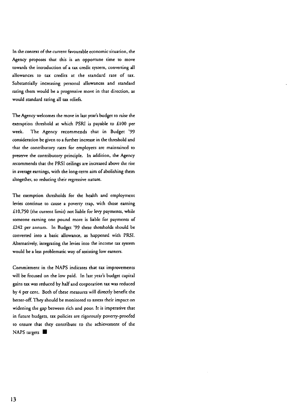**In the context of the current favourable economic situation, the Agency proposes that chis is an opportune time to move towards the introduction of a tax credit system, converting all allowances to tax credits at the standard rate of tax. Substantially increasing personal allowances and standard rating them would be a progressive move in that direction, as**  would standard rating all tax reliefS.

**The Agency welcomes the move in last year's budget to raise the**  exemption threshold at which PSRI is payable to £100 per week. The Agency recommends that in Budget '99 **consideration be given to a funher increase in the threshold and that the concributory rates for employees are maintained to preserve the contributory principle. In addition, the Agency recommends that the PRSI ceilings are increased above the rise in average earnings, with the** long~term **aim of abolishing them altogether, so reducing their regressive nature.** 

The exemption thresholds for the health and employment levies continue to cause a poverty trap, with those earning £ 10,750 (the current limit) not liable for levy payments, while **someone earning one pound more is liable for payments of**  £242 per annum. In Budget '99 these thresholds should be **converted inco a basic allowance, as happened with PRSI. Alternatively, integrating the levies inco the income tax system would be a less problematic way of assisting low earners.** 

**Commitment in the NAPS indicates that tax improvements**  will be focused on the low paid. In last year's budget capital **gains tax was reduced by half and corporation tax was reduced**  by 4 per *cent.* Both of these measures will directly benefit the better-off. They should be monitored to assess their impact on **widening the gap between rich and poor. It is imperative that in future budgets, tax policies are rigorously** poverry~proofed **to ensure that they contribute to the achievement of the**  NAPS targets  $\blacksquare$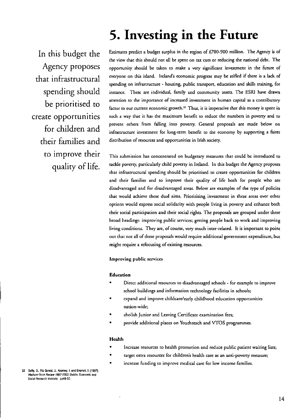### 5. Investing in the Future

In this budget the Agency proposes that infrastructural spending should be prioritised to create opportunities for children and their families and to improve their quality of life.

Estimates predict a budget surplus in the region of £700-900 million. The Agency is of the view that this should not all be spent on tax cuts or reducing the national debt. The opportunity should be taken to make a very significant investment in the future of everyone on this island. Ireland's economic progress may be stifled if there is a lack of spending on infrastructure - housing, public transport, education and skills training, for instance. These are individual, family and community assets. The ESRI have drawn attention to the importance of increased investment in human capital as a contributory factor to our current economic growth.<sup>32</sup> Thus, it is imperative that this money is spent in such a way that it has the maximum benefit to reduce the numbers in poverty and to prevent others from falling into poverty. General proposals are made below on infrastructure investment for long-term benefit to the economy by supporting a fairer distribution of resources and opportunities in Irish society.

This submission has concentrated on budgetary measures that could be introduced to tackle poverty, particularly child poverty in Irdand. In mis budget the Agency proposes that infrastructural spending should be prioritised to create opportunities for children and their families and to improve their quality of life both for people who are disadvantaged and for disadvantaged areas. Below are examples of the type of policies that would achieve these dual aims. Prioritising investment in these areas over other options would express social solidarity with people living in poverty and enhance both their social participation and their social rights. The proposals are grouped under three broad headings: improving public services; getting people back to work and improving living conditions. They are, of course, very much inter-related. It is important to point out that not all of these proposals would require additional government expenditure, but might require a refocusing of existing resources.

#### Improving public services

#### Education

- Direct additional resources to disadvantaged schools - for example to improve school buildings and information technology facilities in schools;
- expand and improve childcare/early childhood education opportunities nation-wide;
- abolish Junior and Leaving Certificate examination fees;
- provide additional places on Youmreach and *vros* programmes.

#### Health

- Increase resources to health promotion and reduce public patient waiting lists;
- target extra resources for children's health care as an anti-poverty measure;
- increase funding to improve medical care for low income families.

32 Duffy, D., Fitz Gerald, J., Kearney. I. and Shortall, F. (1997) Medium-Term Review 1997-2003, Dublin: Economic and Social Research Institute. pp4B-52.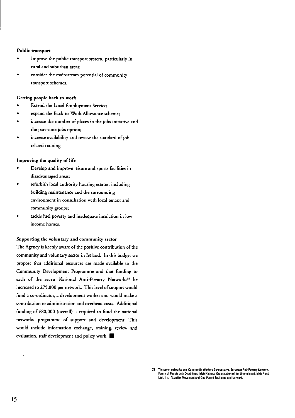#### Public transport

- Improve the public transport system. particularly in rural and suburban areas;
- consider the mainstream potential of community transport schemes.

#### Getting people back to work

- Extend the Local Employment Service;
- expand the Back-to-Work Allowance scheme;
- increase the number of places in the jobs initiative and the part-time jobs option;
- increase availability and review the standard of jobrelated training.

#### Improving the quality of life

- Develop and improve leisure and spores facilities in disadvantaged areas;
- refurbish local authority housing estates, including building maintenance and the surrounding environment in consultation with local tenant and community groups;
- tackle fuel poverty and inadequate insulation in low income homes.

#### Supporting the voluntary and community sector

The Agency is keenly aware of the positive contribution of the community and voluntary sector in Ireland. In this budget we propose that additional resources are made available to the Community Development Programme and that funding to each of the seven National Anti-Poverty Networks<sup>33</sup> be increased to £75,000 per network. This level of support would fund a co-ordinator. a development worker and would make a contribution to administration and overhead costs. Additional funding of £80,000 (overall) is required to fund the national networks' programme of support and development. This would include information exchange. training. review and evaluation, staff development and policy work  $\blacksquare$ 

<sup>33</sup> The seven networks are: Community Workers Co-operative. European Anti-Poverty Network, Forum of People with Oisabilities. Irish National Organisation of the Unemployed, Irish Rural Link. Irish Traveller Movement and One Parent Exchange and Network.